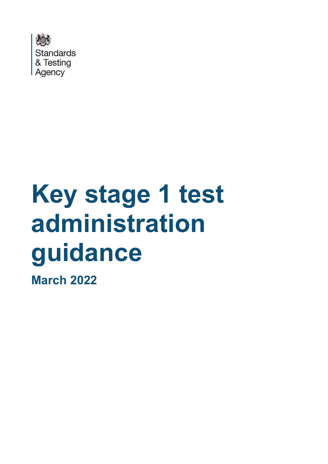

# **Key stage 1 test administration guidance**

**March 2022**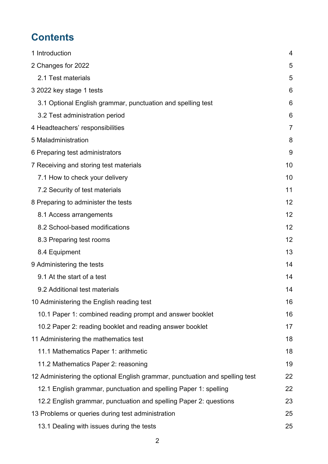# **Contents**

| 1 Introduction                                                               | 4              |
|------------------------------------------------------------------------------|----------------|
| 2 Changes for 2022                                                           | 5              |
| 2.1 Test materials                                                           | 5              |
| 3 2022 key stage 1 tests                                                     | 6              |
| 3.1 Optional English grammar, punctuation and spelling test                  | 6              |
| 3.2 Test administration period                                               | 6              |
| 4 Headteachers' responsibilities                                             | $\overline{7}$ |
| 5 Maladministration                                                          | 8              |
| 6 Preparing test administrators                                              | 9              |
| 7 Receiving and storing test materials                                       | 10             |
| 7.1 How to check your delivery                                               | 10             |
|                                                                              | 11             |
| 7.2 Security of test materials                                               |                |
| 8 Preparing to administer the tests                                          | 12             |
| 8.1 Access arrangements                                                      | 12             |
| 8.2 School-based modifications                                               | 12             |
| 8.3 Preparing test rooms                                                     | 12             |
| 8.4 Equipment                                                                | 13             |
| 9 Administering the tests                                                    | 14             |
| 9.1 At the start of a test                                                   | 14             |
| 9.2 Additional test materials                                                | 14             |
| 10 Administering the English reading test                                    | 16             |
| 10.1 Paper 1: combined reading prompt and answer booklet                     | 16             |
| 10.2 Paper 2: reading booklet and reading answer booklet                     | 17             |
| 11 Administering the mathematics test                                        | 18             |
| 11.1 Mathematics Paper 1: arithmetic                                         | 18             |
| 11.2 Mathematics Paper 2: reasoning                                          | 19             |
| 12 Administering the optional English grammar, punctuation and spelling test | 22             |
| 12.1 English grammar, punctuation and spelling Paper 1: spelling             | 22             |
| 12.2 English grammar, punctuation and spelling Paper 2: questions            | 23             |
| 13 Problems or queries during test administration                            | 25             |
| 13.1 Dealing with issues during the tests                                    | 25             |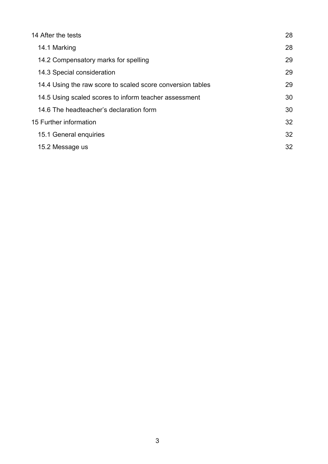| 14 After the tests                                         | 28 |
|------------------------------------------------------------|----|
| 14.1 Marking                                               | 28 |
| 14.2 Compensatory marks for spelling                       | 29 |
| 14.3 Special consideration                                 | 29 |
| 14.4 Using the raw score to scaled score conversion tables | 29 |
| 14.5 Using scaled scores to inform teacher assessment      | 30 |
| 14.6 The headteacher's declaration form                    | 30 |
| 15 Further information                                     | 32 |
| 15.1 General enquiries                                     | 32 |
| 15.2 Message us                                            | 32 |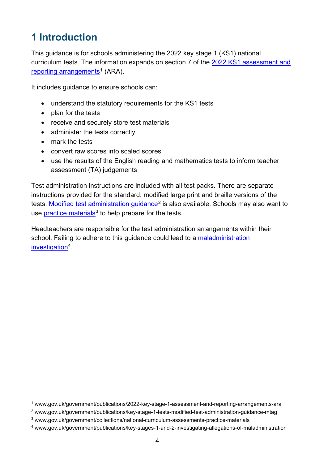# <span id="page-3-0"></span>**1 Introduction**

This guidance is for schools administering the 2022 key stage 1 (KS1) national curriculum tests. The information expands on section 7 of the [2022 KS1 assessment and](https://www.gov.uk/government/publications/2022-key-stage-1-assessment-and-reporting-arrangements-ara)  [reporting arrangements](https://www.gov.uk/government/publications/2022-key-stage-1-assessment-and-reporting-arrangements-ara)<sup>[1](#page-3-1)</sup> (ARA).

It includes guidance to ensure schools can:

- understand the statutory requirements for the KS1 tests
- plan for the tests
- receive and securely store test materials
- administer the tests correctly
- mark the tests
- convert raw scores into scaled scores
- use the results of the English reading and mathematics tests to inform teacher assessment (TA) judgements

Test administration instructions are included with all test packs. There are separate instructions provided for the standard, modified large print and braille versions of the tests. [Modified test administration guidance](https://www.gov.uk/government/publications/key-stage-1-tests-modified-test-administration-guidance-mtag)<sup>[2](#page-3-2)</sup> is also available. Schools may also want to use [practice materials](http://www.gov.uk/government/collections/national-curriculum-assessments-practice-materials) $3$  to help prepare for the tests.

Headteachers are responsible for the test administration arrangements within their school. Failing to adhere to this guidance could lead to a maladministration [investigation](http://www.gov.uk/government/publications/key-stages-1-and-2-investigating-allegations-of-maladministration)<sup>[4](#page-3-4)</sup>.

<span id="page-3-1"></span><sup>1</sup> www.gov.uk/government/publications/2022-key-stage-1-assessment-and-reporting-arrangements-ara

<span id="page-3-2"></span><sup>2</sup> www.gov.uk/government/publications/key-stage-1-tests-modified-test-administration-guidance-mtag

<span id="page-3-3"></span><sup>3</sup> www.gov.uk/government/collections/national-curriculum-assessments-practice-materials

<span id="page-3-4"></span><sup>4</sup> www.gov.uk/government/publications/key-stages-1-and-2-investigating-allegations-of-maladministration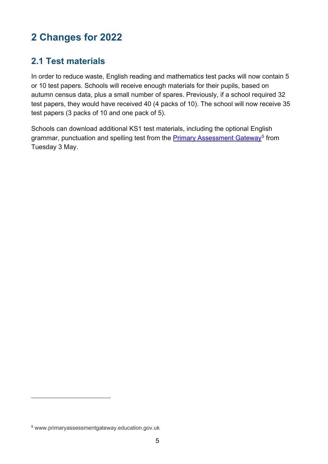# <span id="page-4-0"></span>**2 Changes for 2022**

# <span id="page-4-1"></span>**2.1 Test materials**

In order to reduce waste, English reading and mathematics test packs will now contain 5 or 10 test papers. Schools will receive enough materials for their pupils, based on autumn census data, plus a small number of spares. Previously, if a school required 32 test papers, they would have received 40 (4 packs of 10). The school will now receive 35 test papers (3 packs of 10 and one pack of 5).

Schools can download additional KS1 test materials, including the optional English grammar, punctuation and spelling test from the [Primary Assessment Gateway](http://www.primaryassessmentgateway.education.gov.uk/)<sup>[5](#page-4-2)</sup> from Tuesday 3 May.

<span id="page-4-2"></span><sup>5</sup> www.primaryassessmentgateway.education.gov.uk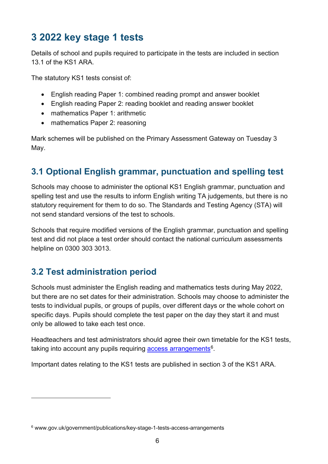# <span id="page-5-0"></span>**3 2022 key stage 1 tests**

Details of school and pupils required to participate in the tests are included in section 13.1 of the KS1 ARA.

The statutory KS1 tests consist of:

- English reading Paper 1: combined reading prompt and answer booklet
- English reading Paper 2: reading booklet and reading answer booklet
- mathematics Paper 1: arithmetic
- mathematics Paper 2: reasoning

Mark schemes will be published on the Primary Assessment Gateway on Tuesday 3 May.

# <span id="page-5-1"></span>**3.1 Optional English grammar, punctuation and spelling test**

Schools may choose to administer the optional KS1 English grammar, punctuation and spelling test and use the results to inform English writing TA judgements, but there is no statutory requirement for them to do so. The Standards and Testing Agency (STA) will not send standard versions of the test to schools.

Schools that require modified versions of the English grammar, punctuation and spelling test and did not place a test order should contact the national curriculum assessments helpline on 0300 303 3013.

## <span id="page-5-2"></span>**3.2 Test administration period**

Schools must administer the English reading and mathematics tests during May 2022, but there are no set dates for their administration. Schools may choose to administer the tests to individual pupils, or groups of pupils, over different days or the whole cohort on specific days. Pupils should complete the test paper on the day they start it and must only be allowed to take each test once.

Headteachers and test administrators should agree their own timetable for the KS1 tests, taking into account any pupils requiring access arrangements<sup>6</sup>.

Important dates relating to the KS1 tests are published in section 3 of the KS1 ARA.

<span id="page-5-3"></span><sup>6</sup> www.gov.uk/government/publications/key-stage-1-tests-access-arrangements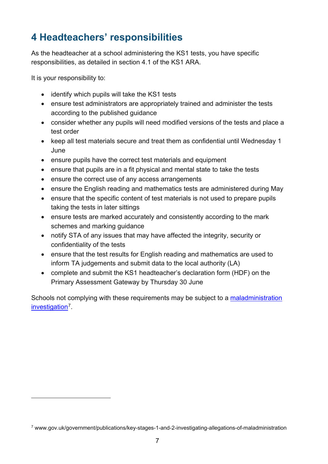# <span id="page-6-0"></span>**4 Headteachers' responsibilities**

As the headteacher at a school administering the KS1 tests, you have specific responsibilities, as detailed in section 4.1 of the KS1 ARA.

It is your responsibility to:

- identify which pupils will take the KS1 tests
- ensure test administrators are appropriately trained and administer the tests according to the published guidance
- consider whether any pupils will need modified versions of the tests and place a test order
- keep all test materials secure and treat them as confidential until Wednesday 1 June
- ensure pupils have the correct test materials and equipment
- ensure that pupils are in a fit physical and mental state to take the tests
- ensure the correct use of any access arrangements
- ensure the English reading and mathematics tests are administered during May
- ensure that the specific content of test materials is not used to prepare pupils taking the tests in later sittings
- ensure tests are marked accurately and consistently according to the mark schemes and marking guidance
- notify STA of any issues that may have affected the integrity, security or confidentiality of the tests
- ensure that the test results for English reading and mathematics are used to inform TA judgements and submit data to the local authority (LA)
- complete and submit the KS1 headteacher's declaration form (HDF) on the Primary Assessment Gateway by Thursday 30 June

Schools not complying with these requirements may be subject to a [maladministration](https://www.gov.uk/government/publications/key-stages-1-and-2-investigating-allegations-of-maladministration)  [investigation](https://www.gov.uk/government/publications/key-stages-1-and-2-investigating-allegations-of-maladministration)[7](#page-6-1).

<span id="page-6-1"></span><sup>7</sup> www.gov.uk/government/publications/key-stages-1-and-2-investigating-allegations-of-maladministration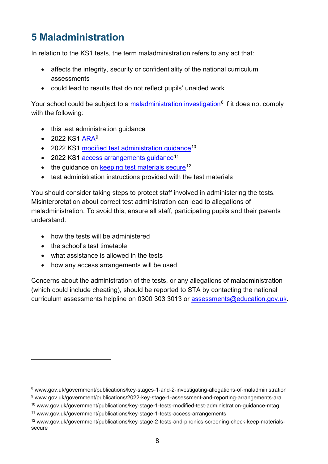# <span id="page-7-0"></span>**5 Maladministration**

In relation to the KS1 tests, the term maladministration refers to any act that:

- affects the integrity, security or confidentiality of the national curriculum assessments
- could lead to results that do not reflect pupils' unaided work

Your school could be subject to a [maladministration investigation](https://www.gov.uk/government/publications/key-stages-1-and-2-investigating-allegations-of-maladministration)<sup>[8](#page-7-1)</sup> if it does not comply with the following:

- this test administration guidance
- 2022 KS1 [ARA](http://www.gov.uk/government/publications/2022-key-stage-1-assessment-and-reporting-arrangements-ara)<sup>[9](#page-7-2)</sup>
- 2022 KS1 modified test administration quidance<sup>[10](#page-7-3)</sup>
- 2022 KS1 [access arrangements guidance](https://www.gov.uk/government/publications/key-stage-1-tests-access-arrangements)<sup>[11](#page-7-4)</sup>
- $\bullet$  the guidance on [keeping test materials secure](http://www.gov.uk/government/publications/key-stage-2-tests-and-phonics-screening-check-keep-materials-secure)<sup>[12](#page-7-5)</sup>
- test administration instructions provided with the test materials

You should consider taking steps to protect staff involved in administering the tests. Misinterpretation about correct test administration can lead to allegations of maladministration. To avoid this, ensure all staff, participating pupils and their parents understand:

- how the tests will be administered
- the school's test timetable
- what assistance is allowed in the tests
- how any access arrangements will be used

Concerns about the administration of the tests, or any allegations of maladministration (which could include cheating), should be reported to STA by contacting the national curriculum assessments helpline on 0300 303 3013 or [assessments@education.gov.uk.](mailto:assessments@education.gov.uk)

<span id="page-7-1"></span><sup>8</sup> www.gov.uk/government/publications/key-stages-1-and-2-investigating-allegations-of-maladministration

<span id="page-7-2"></span><sup>9</sup> www.gov.uk/government/publications/2022-key-stage-1-assessment-and-reporting-arrangements-ara

<span id="page-7-3"></span><sup>10</sup> www.gov.uk/government/publications/key-stage-1-tests-modified-test-administration-guidance-mtag

<span id="page-7-4"></span><sup>11</sup> www.gov.uk/government/publications/key-stage-1-tests-access-arrangements

<span id="page-7-5"></span><sup>12</sup> www.gov.uk/government/publications/key-stage-2-tests-and-phonics-screening-check-keep-materialssecure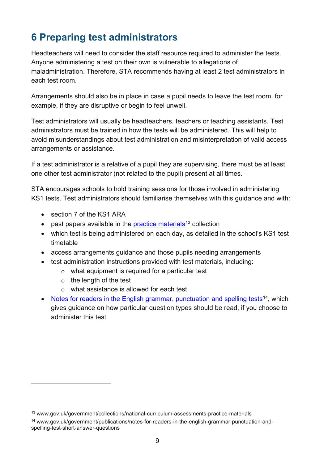# <span id="page-8-0"></span>**6 Preparing test administrators**

Headteachers will need to consider the staff resource required to administer the tests. Anyone administering a test on their own is vulnerable to allegations of maladministration. Therefore, STA recommends having at least 2 test administrators in each test room.

Arrangements should also be in place in case a pupil needs to leave the test room, for example, if they are disruptive or begin to feel unwell.

Test administrators will usually be headteachers, teachers or teaching assistants. Test administrators must be trained in how the tests will be administered. This will help to avoid misunderstandings about test administration and misinterpretation of valid access arrangements or assistance.

If a test administrator is a relative of a pupil they are supervising, there must be at least one other test administrator (not related to the pupil) present at all times.

STA encourages schools to hold training sessions for those involved in administering KS1 tests. Test administrators should familiarise themselves with this guidance and with:

- section 7 of the KS1 ARA
- past papers available in the [practice materials](https://www.gov.uk/government/collections/national-curriculum-assessments-practice-materials)<sup>[13](#page-8-1)</sup> collection
- which test is being administered on each day, as detailed in the school's KS1 test timetable
- access arrangements guidance and those pupils needing arrangements
- test administration instructions provided with test materials, including:
	- o what equipment is required for a particular test
	- $\circ$  the length of the test
	- o what assistance is allowed for each test
- [Notes for readers in the English grammar, punctuation and spelling tests](https://www.gov.uk/government/publications/notes-for-readers-in-the-english-grammar-punctuation-and-spelling-test-short-answer-questions)<sup>[14](#page-8-2)</sup>, which gives guidance on how particular question types should be read, if you choose to administer this test

<span id="page-8-1"></span><sup>&</sup>lt;sup>13</sup> www.gov.uk/government/collections/national-curriculum-assessments-practice-materials

<span id="page-8-2"></span><sup>14</sup> www.gov.uk/government/publications/notes-for-readers-in-the-english-grammar-punctuation-andspelling-test-short-answer-questions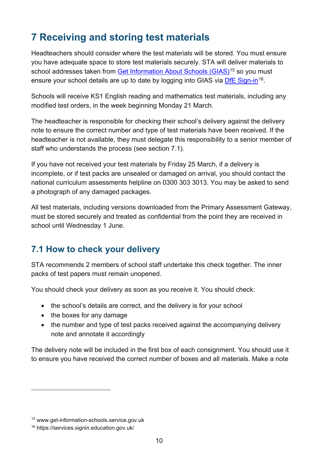# <span id="page-9-0"></span>**7 Receiving and storing test materials**

Headteachers should consider where the test materials will be stored. You must ensure you have adequate space to store test materials securely. STA will deliver materials to school addresses taken from [Get Information About Schools](https://get-information-schools.service.gov.uk/) (GIAS)<sup>[15](#page-9-2)</sup> so you must ensure your school details are up to date by logging into GIAS via [DfE Sign-in](https://services.signin.education.gov.uk/)<sup>[16](#page-9-3)</sup>.

Schools will receive KS1 English reading and mathematics test materials, including any modified test orders, in the week beginning Monday 21 March.

The headteacher is responsible for checking their school's delivery against the delivery note to ensure the correct number and type of test materials have been received. If the headteacher is not available, they must delegate this responsibility to a senior member of staff who understands the process (see section 7.1).

If you have not received your test materials by Friday 25 March, if a delivery is incomplete, or if test packs are unsealed or damaged on arrival, you should contact the national curriculum assessments helpline on 0300 303 3013. You may be asked to send a photograph of any damaged packages.

All test materials, including versions downloaded from the Primary Assessment Gateway, must be stored securely and treated as confidential from the point they are received in school until Wednesday 1 June.

# <span id="page-9-1"></span>**7.1 How to check your delivery**

STA recommends 2 members of school staff undertake this check together. The inner packs of test papers must remain unopened.

You should check your delivery as soon as you receive it. You should check:

- the school's details are correct, and the delivery is for your school
- the boxes for any damage
- the number and type of test packs received against the accompanying delivery note and annotate it accordingly

The delivery note will be included in the first box of each consignment. You should use it to ensure you have received the correct number of boxes and all materials. Make a note

<span id="page-9-2"></span><sup>15</sup> www.get-information-schools.service.gov.uk

<span id="page-9-3"></span><sup>16</sup> https://services.signin.education.gov.uk/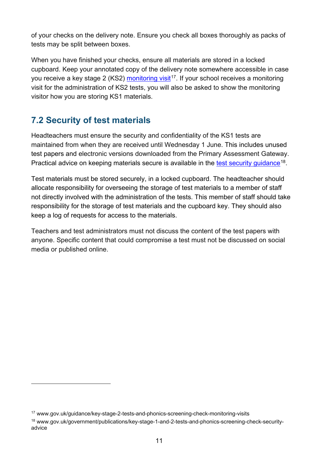of your checks on the delivery note. Ensure you check all boxes thoroughly as packs of tests may be split between boxes.

When you have finished your checks, ensure all materials are stored in a locked cupboard. Keep your annotated copy of the delivery note somewhere accessible in case you receive a key stage 2 (KS2) [monitoring visit](https://www.gov.uk/guidance/key-stage-2-tests-and-phonics-screening-check-monitoring-visits)<sup>[17](#page-10-1)</sup>. If your school receives a monitoring visit for the administration of KS2 tests, you will also be asked to show the monitoring visitor how you are storing KS1 materials.

# <span id="page-10-0"></span>**7.2 Security of test materials**

Headteachers must ensure the security and confidentiality of the KS1 tests are maintained from when they are received until Wednesday 1 June. This includes unused test papers and electronic versions downloaded from the Primary Assessment Gateway. Practical advice on keeping materials secure is available in the [test security guidance](https://www.gov.uk/government/publications/key-stage-2-tests-and-phonics-screening-check-keep-materials-secure)<sup>[18](#page-10-2)</sup>.

Test materials must be stored securely, in a locked cupboard. The headteacher should allocate responsibility for overseeing the storage of test materials to a member of staff not directly involved with the administration of the tests. This member of staff should take responsibility for the storage of test materials and the cupboard key. They should also keep a log of requests for access to the materials.

Teachers and test administrators must not discuss the content of the test papers with anyone. Specific content that could compromise a test must not be discussed on social media or published online.

<span id="page-10-1"></span><sup>17</sup> www.gov.uk/guidance/key-stage-2-tests-and-phonics-screening-check-monitoring-visits

<span id="page-10-2"></span><sup>18</sup> www.gov.uk/government/publications/key-stage-1-and-2-tests-and-phonics-screening-check-securityadvice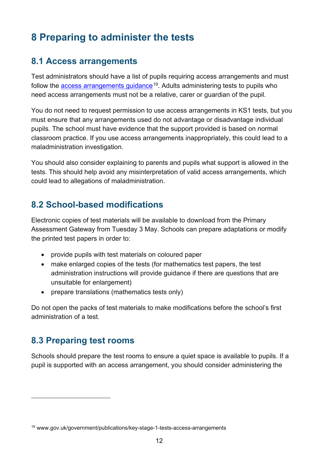# <span id="page-11-0"></span>**8 Preparing to administer the tests**

### <span id="page-11-1"></span>**8.1 Access arrangements**

Test administrators should have a list of pupils requiring access arrangements and must follow the [access arrangements guidance](https://www.gov.uk/government/publications/key-stage-1-tests-access-arrangements)<sup>19</sup>. Adults administering tests to pupils who need access arrangements must not be a relative, carer or guardian of the pupil.

You do not need to request permission to use access arrangements in KS1 tests, but you must ensure that any arrangements used do not advantage or disadvantage individual pupils. The school must have evidence that the support provided is based on normal classroom practice. If you use access arrangements inappropriately, this could lead to a maladministration investigation.

You should also consider explaining to parents and pupils what support is allowed in the tests. This should help avoid any misinterpretation of valid access arrangements, which could lead to allegations of maladministration.

## <span id="page-11-2"></span>**8.2 School-based modifications**

Electronic copies of test materials will be available to download from the Primary Assessment Gateway from Tuesday 3 May. Schools can prepare adaptations or modify the printed test papers in order to:

- provide pupils with test materials on coloured paper
- make enlarged copies of the tests (for mathematics test papers, the test administration instructions will provide guidance if there are questions that are unsuitable for enlargement)
- prepare translations (mathematics tests only)

Do not open the packs of test materials to make modifications before the school's first administration of a test.

## <span id="page-11-3"></span>**8.3 Preparing test rooms**

Schools should prepare the test rooms to ensure a quiet space is available to pupils. If a pupil is supported with an access arrangement, you should consider administering the

<span id="page-11-4"></span><sup>19</sup> www.gov.uk/government/publications/key-stage-1-tests-access-arrangements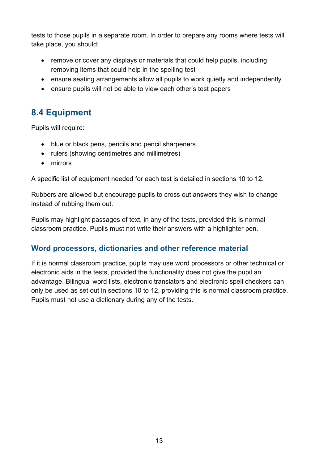tests to those pupils in a separate room. In order to prepare any rooms where tests will take place, you should:

- remove or cover any displays or materials that could help pupils, including removing items that could help in the spelling test
- ensure seating arrangements allow all pupils to work quietly and independently
- ensure pupils will not be able to view each other's test papers

# <span id="page-12-0"></span>**8.4 Equipment**

Pupils will require:

- blue or black pens, pencils and pencil sharpeners
- rulers (showing centimetres and millimetres)
- mirrors

A specific list of equipment needed for each test is detailed in sections 10 to 12.

Rubbers are allowed but encourage pupils to cross out answers they wish to change instead of rubbing them out.

Pupils may highlight passages of text, in any of the tests, provided this is normal classroom practice. Pupils must not write their answers with a highlighter pen.

#### **Word processors, dictionaries and other reference material**

If it is normal classroom practice, pupils may use word processors or other technical or electronic aids in the tests, provided the functionality does not give the pupil an advantage. Bilingual word lists, electronic translators and electronic spell checkers can only be used as set out in sections 10 to 12, providing this is normal classroom practice. Pupils must not use a dictionary during any of the tests.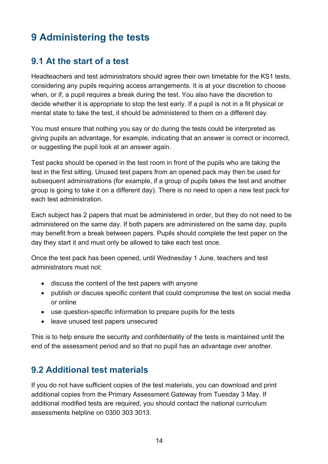# <span id="page-13-0"></span>**9 Administering the tests**

## <span id="page-13-1"></span>**9.1 At the start of a test**

Headteachers and test administrators should agree their own timetable for the KS1 tests, considering any pupils requiring access arrangements. It is at your discretion to choose when, or if, a pupil requires a break during the test. You also have the discretion to decide whether it is appropriate to stop the test early. If a pupil is not in a fit physical or mental state to take the test, it should be administered to them on a different day.

You must ensure that nothing you say or do during the tests could be interpreted as giving pupils an advantage, for example, indicating that an answer is correct or incorrect, or suggesting the pupil look at an answer again.

Test packs should be opened in the test room in front of the pupils who are taking the test in the first sitting. Unused test papers from an opened pack may then be used for subsequent administrations (for example, if a group of pupils takes the test and another group is going to take it on a different day). There is no need to open a new test pack for each test administration.

Each subject has 2 papers that must be administered in order, but they do not need to be administered on the same day. If both papers are administered on the same day, pupils may benefit from a break between papers. Pupils should complete the test paper on the day they start it and must only be allowed to take each test once.

Once the test pack has been opened, until Wednesday 1 June, teachers and test administrators must not:

- discuss the content of the test papers with anyone
- publish or discuss specific content that could compromise the test on social media or online
- use question-specific information to prepare pupils for the tests
- leave unused test papers unsecured

This is to help ensure the security and confidentiality of the tests is maintained until the end of the assessment period and so that no pupil has an advantage over another.

## <span id="page-13-2"></span>**9.2 Additional test materials**

If you do not have sufficient copies of the test materials, you can download and print additional copies from the Primary Assessment Gateway from Tuesday 3 May. If additional modified tests are required, you should contact the national curriculum assessments helpline on 0300 303 3013.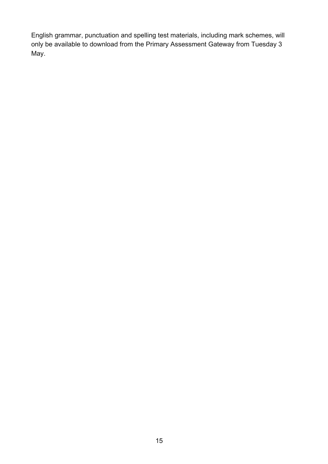English grammar, punctuation and spelling test materials, including mark schemes, will only be available to download from the Primary Assessment Gateway from Tuesday 3 May.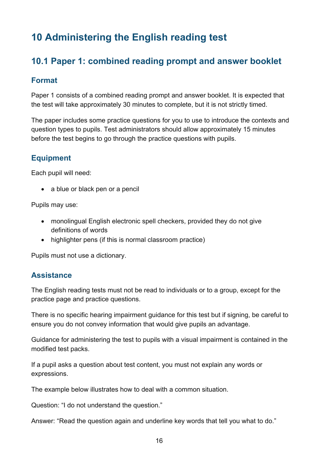# <span id="page-15-0"></span>**10 Administering the English reading test**

# <span id="page-15-1"></span>**10.1 Paper 1: combined reading prompt and answer booklet**

#### **Format**

Paper 1 consists of a combined reading prompt and answer booklet. It is expected that the test will take approximately 30 minutes to complete, but it is not strictly timed.

The paper includes some practice questions for you to use to introduce the contexts and question types to pupils. Test administrators should allow approximately 15 minutes before the test begins to go through the practice questions with pupils.

#### **Equipment**

Each pupil will need:

• a blue or black pen or a pencil

Pupils may use:

- monolingual English electronic spell checkers, provided they do not give definitions of words
- highlighter pens (if this is normal classroom practice)

Pupils must not use a dictionary.

#### **Assistance**

The English reading tests must not be read to individuals or to a group, except for the practice page and practice questions.

There is no specific hearing impairment guidance for this test but if signing, be careful to ensure you do not convey information that would give pupils an advantage.

Guidance for administering the test to pupils with a visual impairment is contained in the modified test packs.

If a pupil asks a question about test content, you must not explain any words or expressions.

The example below illustrates how to deal with a common situation.

Question: "I do not understand the question."

Answer: "Read the question again and underline key words that tell you what to do."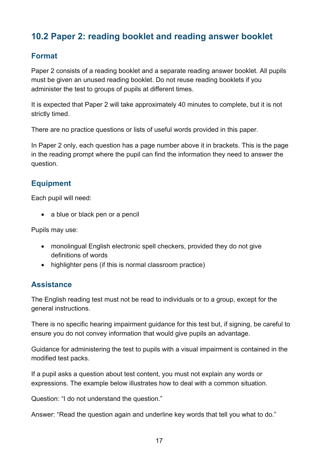# <span id="page-16-0"></span>**10.2 Paper 2: reading booklet and reading answer booklet**

#### **Format**

Paper 2 consists of a reading booklet and a separate reading answer booklet. All pupils must be given an unused reading booklet. Do not reuse reading booklets if you administer the test to groups of pupils at different times.

It is expected that Paper 2 will take approximately 40 minutes to complete, but it is not strictly timed.

There are no practice questions or lists of useful words provided in this paper.

In Paper 2 only, each question has a page number above it in brackets. This is the page in the reading prompt where the pupil can find the information they need to answer the question.

#### **Equipment**

Each pupil will need:

• a blue or black pen or a pencil

Pupils may use:

- monolingual English electronic spell checkers, provided they do not give definitions of words
- highlighter pens (if this is normal classroom practice)

#### **Assistance**

The English reading test must not be read to individuals or to a group, except for the general instructions.

There is no specific hearing impairment guidance for this test but, if signing, be careful to ensure you do not convey information that would give pupils an advantage.

Guidance for administering the test to pupils with a visual impairment is contained in the modified test packs.

If a pupil asks a question about test content, you must not explain any words or expressions. The example below illustrates how to deal with a common situation.

Question: "I do not understand the question."

Answer: "Read the question again and underline key words that tell you what to do."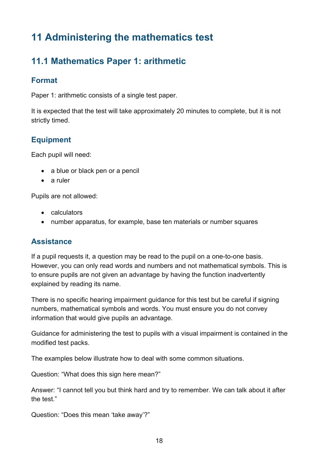# <span id="page-17-0"></span>**11 Administering the mathematics test**

# <span id="page-17-1"></span>**11.1 Mathematics Paper 1: arithmetic**

#### **Format**

Paper 1: arithmetic consists of a single test paper.

It is expected that the test will take approximately 20 minutes to complete, but it is not strictly timed.

#### **Equipment**

Each pupil will need:

- a blue or black pen or a pencil
- a ruler

Pupils are not allowed:

- calculators
- number apparatus, for example, base ten materials or number squares

#### **Assistance**

If a pupil requests it, a question may be read to the pupil on a one-to-one basis. However, you can only read words and numbers and not mathematical symbols. This is to ensure pupils are not given an advantage by having the function inadvertently explained by reading its name.

There is no specific hearing impairment guidance for this test but be careful if signing numbers, mathematical symbols and words. You must ensure you do not convey information that would give pupils an advantage.

Guidance for administering the test to pupils with a visual impairment is contained in the modified test packs.

The examples below illustrate how to deal with some common situations.

Question: "What does this sign here mean?"

Answer: "I cannot tell you but think hard and try to remember. We can talk about it after the test."

Question: "Does this mean 'take away'?"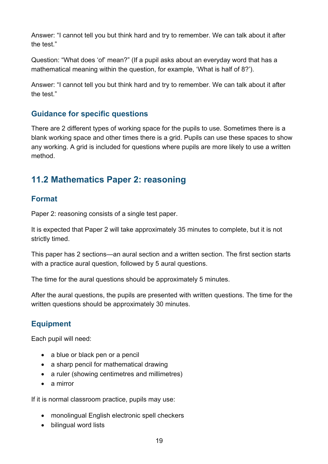Answer: "I cannot tell you but think hard and try to remember. We can talk about it after the test."

Question: "What does 'of' mean?" (If a pupil asks about an everyday word that has a mathematical meaning within the question, for example, 'What is half of 8?').

Answer: "I cannot tell you but think hard and try to remember. We can talk about it after the test."

#### **Guidance for specific questions**

There are 2 different types of working space for the pupils to use. Sometimes there is a blank working space and other times there is a grid. Pupils can use these spaces to show any working. A grid is included for questions where pupils are more likely to use a written method.

# <span id="page-18-0"></span>**11.2 Mathematics Paper 2: reasoning**

#### **Format**

Paper 2: reasoning consists of a single test paper.

It is expected that Paper 2 will take approximately 35 minutes to complete, but it is not strictly timed.

This paper has 2 sections—an aural section and a written section. The first section starts with a practice aural question, followed by 5 aural questions.

The time for the aural questions should be approximately 5 minutes.

After the aural questions, the pupils are presented with written questions. The time for the written questions should be approximately 30 minutes.

#### **Equipment**

Each pupil will need:

- a blue or black pen or a pencil
- a sharp pencil for mathematical drawing
- a ruler (showing centimetres and millimetres)
- a mirror

If it is normal classroom practice, pupils may use:

- monolingual English electronic spell checkers
- bilingual word lists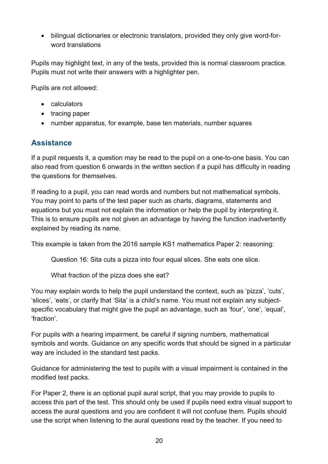• bilingual dictionaries or electronic translators, provided they only give word-forword translations

Pupils may highlight text, in any of the tests, provided this is normal classroom practice. Pupils must not write their answers with a highlighter pen.

Pupils are not allowed:

- calculators
- tracing paper
- number apparatus, for example, base ten materials, number squares

#### **Assistance**

If a pupil requests it, a question may be read to the pupil on a one-to-one basis. You can also read from question 6 onwards in the written section if a pupil has difficulty in reading the questions for themselves.

If reading to a pupil, you can read words and numbers but not mathematical symbols. You may point to parts of the test paper such as charts, diagrams, statements and equations but you must not explain the information or help the pupil by interpreting it. This is to ensure pupils are not given an advantage by having the function inadvertently explained by reading its name.

This example is taken from the 2016 sample KS1 mathematics Paper 2: reasoning:

Question 16: Sita cuts a pizza into four equal slices. She eats one slice.

What fraction of the pizza does she eat?

You may explain words to help the pupil understand the context, such as 'pizza', 'cuts', 'slices', 'eats', or clarify that 'Sita' is a child's name. You must not explain any subjectspecific vocabulary that might give the pupil an advantage, such as 'four', 'one', 'equal', 'fraction'.

For pupils with a hearing impairment, be careful if signing numbers, mathematical symbols and words. Guidance on any specific words that should be signed in a particular way are included in the standard test packs.

Guidance for administering the test to pupils with a visual impairment is contained in the modified test packs.

For Paper 2, there is an optional pupil aural script, that you may provide to pupils to access this part of the test. This should only be used if pupils need extra visual support to access the aural questions and you are confident it will not confuse them. Pupils should use the script when listening to the aural questions read by the teacher. If you need to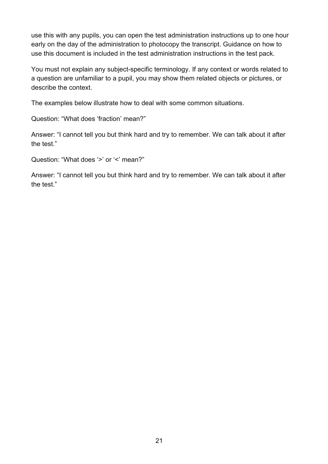use this with any pupils, you can open the test administration instructions up to one hour early on the day of the administration to photocopy the transcript. Guidance on how to use this document is included in the test administration instructions in the test pack.

You must not explain any subject-specific terminology. If any context or words related to a question are unfamiliar to a pupil, you may show them related objects or pictures, or describe the context.

The examples below illustrate how to deal with some common situations.

Question: "What does 'fraction' mean?"

Answer: "I cannot tell you but think hard and try to remember. We can talk about it after the test."

Question: "What does '>' or '<' mean?"

Answer: "I cannot tell you but think hard and try to remember. We can talk about it after the test."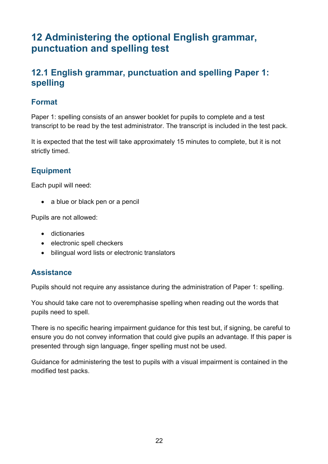# <span id="page-21-0"></span>**12 Administering the optional English grammar, punctuation and spelling test**

## <span id="page-21-1"></span>**12.1 English grammar, punctuation and spelling Paper 1: spelling**

#### **Format**

Paper 1: spelling consists of an answer booklet for pupils to complete and a test transcript to be read by the test administrator. The transcript is included in the test pack.

It is expected that the test will take approximately 15 minutes to complete, but it is not strictly timed.

#### **Equipment**

Each pupil will need:

• a blue or black pen or a pencil

Pupils are not allowed:

- dictionaries
- electronic spell checkers
- bilingual word lists or electronic translators

#### **Assistance**

Pupils should not require any assistance during the administration of Paper 1: spelling.

You should take care not to overemphasise spelling when reading out the words that pupils need to spell.

There is no specific hearing impairment guidance for this test but, if signing, be careful to ensure you do not convey information that could give pupils an advantage. If this paper is presented through sign language, finger spelling must not be used.

Guidance for administering the test to pupils with a visual impairment is contained in the modified test packs.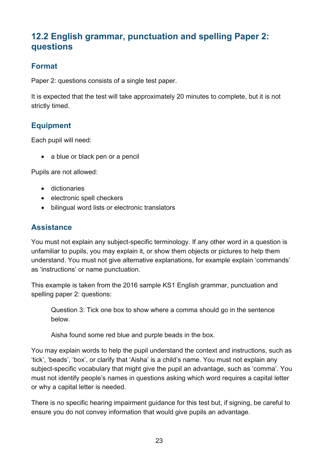# <span id="page-22-0"></span>**12.2 English grammar, punctuation and spelling Paper 2: questions**

#### **Format**

Paper 2: questions consists of a single test paper.

It is expected that the test will take approximately 20 minutes to complete, but it is not strictly timed.

#### **Equipment**

Each pupil will need:

• a blue or black pen or a pencil

Pupils are not allowed:

- dictionaries
- electronic spell checkers
- bilingual word lists or electronic translators

#### **Assistance**

You must not explain any subject-specific terminology. If any other word in a question is unfamiliar to pupils, you may explain it, or show them objects or pictures to help them understand. You must not give alternative explanations, for example explain 'commands' as 'instructions' or name punctuation.

This example is taken from the 2016 sample KS1 English grammar, punctuation and spelling paper 2: questions:

Question 3: Tick one box to show where a comma should go in the sentence below.

Aisha found some red blue and purple beads in the box.

You may explain words to help the pupil understand the context and instructions, such as 'tick', 'beads', 'box', or clarify that 'Aisha' is a child's name. You must not explain any subject-specific vocabulary that might give the pupil an advantage, such as 'comma'. You must not identify people's names in questions asking which word requires a capital letter or why a capital letter is needed.

There is no specific hearing impairment guidance for this test but, if signing, be careful to ensure you do not convey information that would give pupils an advantage.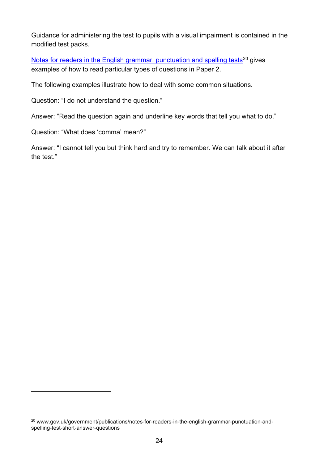Guidance for administering the test to pupils with a visual impairment is contained in the modified test packs.

[Notes for readers in the English grammar, punctuation and spelling tests](https://www.gov.uk/government/publications/notes-for-readers-in-the-english-grammar-punctuation-and-spelling-test-short-answer-questions)<sup>[20](#page-23-0)</sup> gives examples of how to read particular types of questions in Paper 2.

The following examples illustrate how to deal with some common situations.

Question: "I do not understand the question."

Answer: "Read the question again and underline key words that tell you what to do."

Question: "What does 'comma' mean?"

Answer: "I cannot tell you but think hard and try to remember. We can talk about it after the test."

<span id="page-23-0"></span><sup>&</sup>lt;sup>20</sup> www.gov.uk/government/publications/notes-for-readers-in-the-english-grammar-punctuation-andspelling-test-short-answer-questions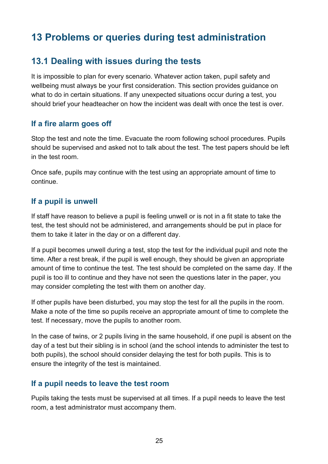# <span id="page-24-0"></span>**13 Problems or queries during test administration**

## <span id="page-24-1"></span>**13.1 Dealing with issues during the tests**

It is impossible to plan for every scenario. Whatever action taken, pupil safety and wellbeing must always be your first consideration. This section provides guidance on what to do in certain situations. If any unexpected situations occur during a test, you should brief your headteacher on how the incident was dealt with once the test is over.

#### **If a fire alarm goes off**

Stop the test and note the time. Evacuate the room following school procedures. Pupils should be supervised and asked not to talk about the test. The test papers should be left in the test room.

Once safe, pupils may continue with the test using an appropriate amount of time to continue.

#### **If a pupil is unwell**

If staff have reason to believe a pupil is feeling unwell or is not in a fit state to take the test, the test should not be administered, and arrangements should be put in place for them to take it later in the day or on a different day.

If a pupil becomes unwell during a test, stop the test for the individual pupil and note the time. After a rest break, if the pupil is well enough, they should be given an appropriate amount of time to continue the test. The test should be completed on the same day. If the pupil is too ill to continue and they have not seen the questions later in the paper, you may consider completing the test with them on another day.

If other pupils have been disturbed, you may stop the test for all the pupils in the room. Make a note of the time so pupils receive an appropriate amount of time to complete the test. If necessary, move the pupils to another room.

In the case of twins, or 2 pupils living in the same household, if one pupil is absent on the day of a test but their sibling is in school (and the school intends to administer the test to both pupils), the school should consider delaying the test for both pupils. This is to ensure the integrity of the test is maintained.

#### **If a pupil needs to leave the test room**

Pupils taking the tests must be supervised at all times. If a pupil needs to leave the test room, a test administrator must accompany them.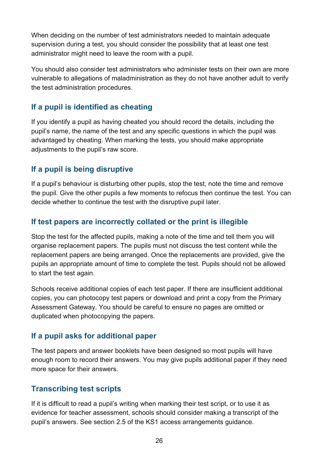When deciding on the number of test administrators needed to maintain adequate supervision during a test, you should consider the possibility that at least one test administrator might need to leave the room with a pupil.

You should also consider test administrators who administer tests on their own are more vulnerable to allegations of maladministration as they do not have another adult to verify the test administration procedures.

#### **If a pupil is identified as cheating**

If you identify a pupil as having cheated you should record the details, including the pupil's name, the name of the test and any specific questions in which the pupil was advantaged by cheating. When marking the tests, you should make appropriate adjustments to the pupil's raw score.

#### **If a pupil is being disruptive**

If a pupil's behaviour is disturbing other pupils, stop the test, note the time and remove the pupil. Give the other pupils a few moments to refocus then continue the test. You can decide whether to continue the test with the disruptive pupil later.

#### **If test papers are incorrectly collated or the print is illegible**

Stop the test for the affected pupils, making a note of the time and tell them you will organise replacement papers. The pupils must not discuss the test content while the replacement papers are being arranged. Once the replacements are provided, give the pupils an appropriate amount of time to complete the test. Pupils should not be allowed to start the test again.

Schools receive additional copies of each test paper. If there are insufficient additional copies, you can photocopy test papers or download and print a copy from the Primary Assessment Gateway. You should be careful to ensure no pages are omitted or duplicated when photocopying the papers.

#### **If a pupil asks for additional paper**

The test papers and answer booklets have been designed so most pupils will have enough room to record their answers. You may give pupils additional paper if they need more space for their answers.

#### **Transcribing test scripts**

If it is difficult to read a pupil's writing when marking their test script, or to use it as evidence for teacher assessment, schools should consider making a transcript of the pupil's answers. See section 2.5 of the KS1 access arrangements guidance.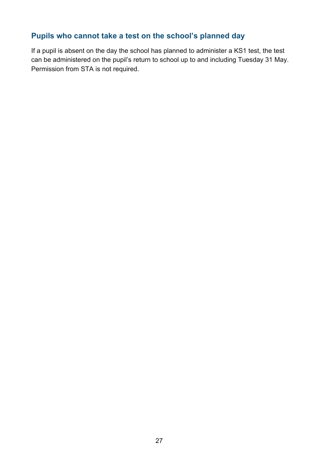## **Pupils who cannot take a test on the school's planned day**

If a pupil is absent on the day the school has planned to administer a KS1 test, the test can be administered on the pupil's return to school up to and including Tuesday 31 May. Permission from STA is not required.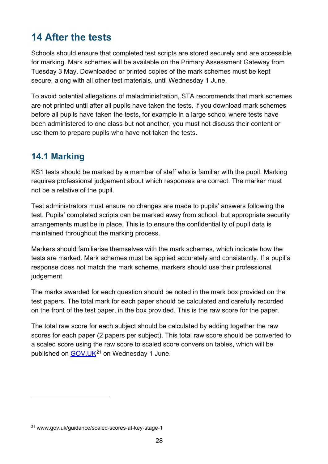# <span id="page-27-0"></span>**14 After the tests**

Schools should ensure that completed test scripts are stored securely and are accessible for marking. Mark schemes will be available on the Primary Assessment Gateway from Tuesday 3 May. Downloaded or printed copies of the mark schemes must be kept secure, along with all other test materials, until Wednesday 1 June.

To avoid potential allegations of maladministration, STA recommends that mark schemes are not printed until after all pupils have taken the tests. If you download mark schemes before all pupils have taken the tests, for example in a large school where tests have been administered to one class but not another, you must not discuss their content or use them to prepare pupils who have not taken the tests.

# <span id="page-27-1"></span>**14.1 Marking**

KS1 tests should be marked by a member of staff who is familiar with the pupil. Marking requires professional judgement about which responses are correct. The marker must not be a relative of the pupil.

Test administrators must ensure no changes are made to pupils' answers following the test. Pupils' completed scripts can be marked away from school, but appropriate security arrangements must be in place. This is to ensure the confidentiality of pupil data is maintained throughout the marking process.

Markers should familiarise themselves with the mark schemes, which indicate how the tests are marked. Mark schemes must be applied accurately and consistently. If a pupil's response does not match the mark scheme, markers should use their professional judgement.

The marks awarded for each question should be noted in the mark box provided on the test papers. The total mark for each paper should be calculated and carefully recorded on the front of the test paper, in the box provided. This is the raw score for the paper.

The total raw score for each subject should be calculated by adding together the raw scores for each paper (2 papers per subject). This total raw score should be converted to a scaled score using the raw score to scaled score conversion tables, which will be published on GOV.UK<sup>21</sup> on Wednesday 1 June.

<span id="page-27-2"></span><sup>21</sup> www.gov.uk/guidance/scaled-scores-at-key-stage-1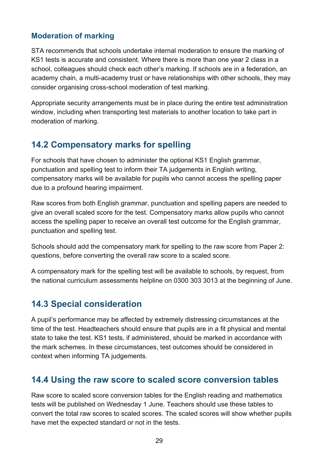#### **Moderation of marking**

STA recommends that schools undertake internal moderation to ensure the marking of KS1 tests is accurate and consistent. Where there is more than one year 2 class in a school, colleagues should check each other's marking. If schools are in a federation, an academy chain, a multi-academy trust or have relationships with other schools, they may consider organising cross-school moderation of test marking.

Appropriate security arrangements must be in place during the entire test administration window, including when transporting test materials to another location to take part in moderation of marking.

# <span id="page-28-0"></span>**14.2 Compensatory marks for spelling**

For schools that have chosen to administer the optional KS1 English grammar, punctuation and spelling test to inform their TA judgements in English writing, compensatory marks will be available for pupils who cannot access the spelling paper due to a profound hearing impairment.

Raw scores from both English grammar, punctuation and spelling papers are needed to give an overall scaled score for the test. Compensatory marks allow pupils who cannot access the spelling paper to receive an overall test outcome for the English grammar, punctuation and spelling test.

Schools should add the compensatory mark for spelling to the raw score from Paper 2: questions, before converting the overall raw score to a scaled score.

A compensatory mark for the spelling test will be available to schools, by request, from the national curriculum assessments helpline on 0300 303 3013 at the beginning of June.

## <span id="page-28-1"></span>**14.3 Special consideration**

A pupil's performance may be affected by extremely distressing circumstances at the time of the test. Headteachers should ensure that pupils are in a fit physical and mental state to take the test. KS1 tests, if administered, should be marked in accordance with the mark schemes. In these circumstances, test outcomes should be considered in context when informing TA judgements.

## <span id="page-28-2"></span>**14.4 Using the raw score to scaled score conversion tables**

Raw score to scaled score conversion tables for the English reading and mathematics tests will be published on Wednesday 1 June. Teachers should use these tables to convert the total raw scores to scaled scores. The scaled scores will show whether pupils have met the expected standard or not in the tests.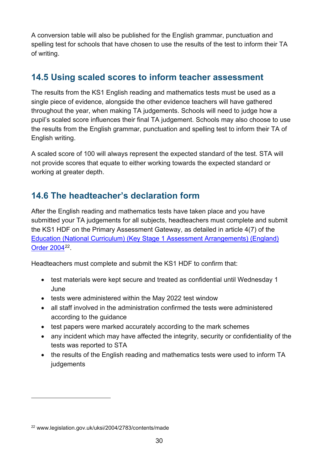A conversion table will also be published for the English grammar, punctuation and spelling test for schools that have chosen to use the results of the test to inform their TA of writing.

## <span id="page-29-0"></span>**14.5 Using scaled scores to inform teacher assessment**

The results from the KS1 English reading and mathematics tests must be used as a single piece of evidence, alongside the other evidence teachers will have gathered throughout the year, when making TA judgements. Schools will need to judge how a pupil's scaled score influences their final TA judgement. Schools may also choose to use the results from the English grammar, punctuation and spelling test to inform their TA of English writing.

A scaled score of 100 will always represent the expected standard of the test. STA will not provide scores that equate to either working towards the expected standard or working at greater depth.

# <span id="page-29-1"></span>**14.6 The headteacher's declaration form**

After the English reading and mathematics tests have taken place and you have submitted your TA judgements for all subjects, headteachers must complete and submit the KS1 HDF on the Primary Assessment Gateway, as detailed in article 4(7) of the [Education \(National Curriculum\) \(Key Stage 1 Assessment Arrangements\) \(England\)](https://www.legislation.gov.uk/uksi/2004/2783/contents/made)  [Order 2004](https://www.legislation.gov.uk/uksi/2004/2783/contents/made)[22.](#page-29-2)

Headteachers must complete and submit the KS1 HDF to confirm that:

- test materials were kept secure and treated as confidential until Wednesday 1 June
- tests were administered within the May 2022 test window
- all staff involved in the administration confirmed the tests were administered according to the guidance
- test papers were marked accurately according to the mark schemes
- any incident which may have affected the integrity, security or confidentiality of the tests was reported to STA
- the results of the English reading and mathematics tests were used to inform TA judgements

<span id="page-29-2"></span><sup>22</sup> www.legislation.gov.uk/uksi/2004/2783/contents/made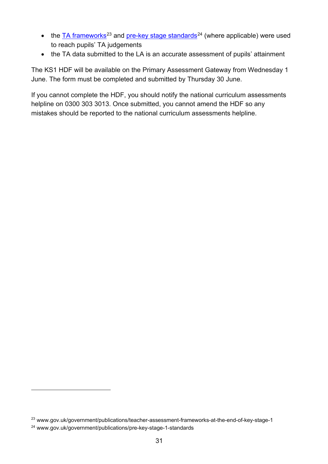- the  $TA$  frameworks<sup>[23](#page-30-0)</sup> and [pre-key stage standards](https://www.gov.uk/government/publications/pre-key-stage-1-standards)<sup>[24](#page-30-1)</sup> (where applicable) were used to reach pupils' TA judgements
- the TA data submitted to the LA is an accurate assessment of pupils' attainment

The KS1 HDF will be available on the Primary Assessment Gateway from Wednesday 1 June. The form must be completed and submitted by Thursday 30 June.

If you cannot complete the HDF, you should notify the national curriculum assessments helpline on 0300 303 3013. Once submitted, you cannot amend the HDF so any mistakes should be reported to the national curriculum assessments helpline.

<span id="page-30-0"></span><sup>23</sup> www.gov.uk/government/publications/teacher-assessment-frameworks-at-the-end-of-key-stage-1

<span id="page-30-1"></span><sup>24</sup> www.gov.uk/government/publications/pre-key-stage-1-standards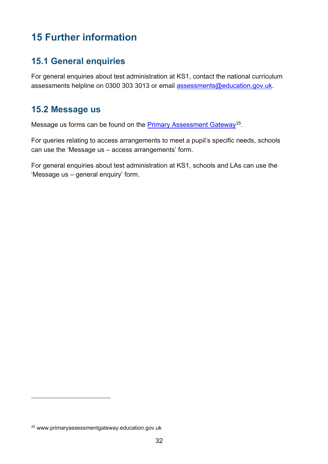# <span id="page-31-0"></span>**15 Further information**

## <span id="page-31-1"></span>**15.1 General enquiries**

For general enquiries about test administration at KS1, contact the national curriculum assessments helpline on 0300 303 3013 or email [assessments@education.gov.uk.](mailto:assessments@education.gov.uk)

## <span id="page-31-2"></span>**15.2 Message us**

Message us forms can be found on the **Primary Assessment Gateway**<sup>25</sup>.

For queries relating to access arrangements to meet a pupil's specific needs, schools can use the 'Message us – access arrangements' form.

For general enquiries about test administration at KS1, schools and LAs can use the 'Message us – general enquiry' form.

<span id="page-31-3"></span><sup>25</sup> www.primaryassessmentgateway.education.gov.uk